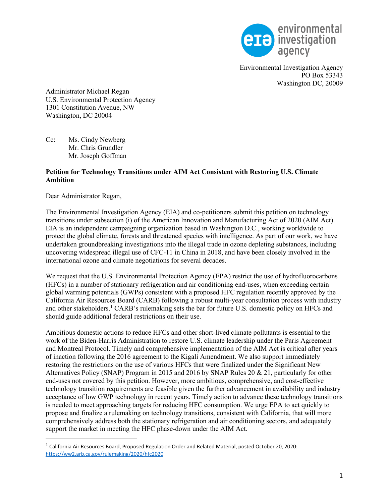

Environmental Investigation Agency PO Box 53343 Washington DC, 20009

Administrator Michael Regan U.S. Environmental Protection Agency 1301 Constitution Avenue, NW Washington, DC 20004

Cc: Ms. Cindy Newberg Mr. Chris Grundler Mr. Joseph Goffman

### **Petition for Technology Transitions under AIM Act Consistent with Restoring U.S. Climate Ambition**

Dear Administrator Regan,

The Environmental Investigation Agency (EIA) and co-petitioners submit this petition on technology transitions under subsection (i) of the American Innovation and Manufacturing Act of 2020 (AIM Act). EIA is an independent campaigning organization based in Washington D.C., working worldwide to protect the global climate, forests and threatened species with intelligence. As part of our work, we have undertaken groundbreaking investigations into the illegal trade in ozone depleting substances, including uncovering widespread illegal use of CFC-11 in China in 2018, and have been closely involved in the international ozone and climate negotiations for several decades.

We request that the U.S. Environmental Protection Agency (EPA) restrict the use of hydrofluorocarbons (HFCs) in a number of stationary refrigeration and air conditioning end-uses, when exceeding certain global warming potentials (GWPs) consistent with a proposed HFC regulation recently approved by the California Air Resources Board (CARB) following a robust multi-year consultation process with industry and other stakeholders.<sup>1</sup> CARB's rulemaking sets the bar for future U.S. domestic policy on HFCs and should guide additional federal restrictions on their use.

Ambitious domestic actions to reduce HFCs and other short-lived climate pollutants is essential to the work of the Biden-Harris Administration to restore U.S. climate leadership under the Paris Agreement and Montreal Protocol. Timely and comprehensive implementation of the AIM Act is critical after years of inaction following the 2016 agreement to the Kigali Amendment. We also support immediately restoring the restrictions on the use of various HFCs that were finalized under the Significant New Alternatives Policy (SNAP) Program in 2015 and 2016 by SNAP Rules 20 & 21, particularly for other end-uses not covered by this petition. However, more ambitious, comprehensive, and cost-effective technology transition requirements are feasible given the further advancement in availability and industry acceptance of low GWP technology in recent years. Timely action to advance these technology transitions is needed to meet approaching targets for reducing HFC consumption. We urge EPA to act quickly to propose and finalize a rulemaking on technology transitions, consistent with California, that will more comprehensively address both the stationary refrigeration and air conditioning sectors, and adequately support the market in meeting the HFC phase-down under the AIM Act.

<sup>1</sup> California Air Resources Board, Proposed Regulation Order and Related Material, posted October 20, 2020: https://ww2.arb.ca.gov/rulemaking/2020/hfc2020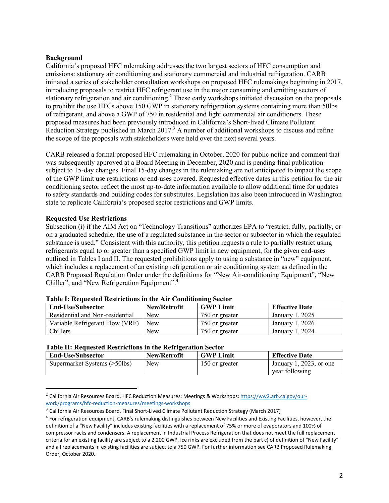### **Background**

California's proposed HFC rulemaking addresses the two largest sectors of HFC consumption and emissions: stationary air conditioning and stationary commercial and industrial refrigeration. CARB initiated a series of stakeholder consultation workshops on proposed HFC rulemakings beginning in 2017, introducing proposals to restrict HFC refrigerant use in the major consuming and emitting sectors of stationary refrigeration and air conditioning.<sup>2</sup> These early workshops initiated discussion on the proposals to prohibit the use HFCs above 150 GWP in stationary refrigeration systems containing more than 50lbs of refrigerant, and above a GWP of 750 in residential and light commercial air conditioners. These proposed measures had been previously introduced in California's Short-lived Climate Pollutant Reduction Strategy published in March  $2017<sup>3</sup>$  A number of additional workshops to discuss and refine the scope of the proposals with stakeholders were held over the next several years.

CARB released a formal proposed HFC rulemaking in October, 2020 for public notice and comment that was subsequently approved at a Board Meeting in December, 2020 and is pending final publication subject to 15-day changes. Final 15-day changes in the rulemaking are not anticipated to impact the scope of the GWP limit use restrictions or end-uses covered. Requested effective dates in this petition for the air conditioning sector reflect the most up-to-date information available to allow additional time for updates to safety standards and building codes for substitutes. Legislation has also been introduced in Washington state to replicate California's proposed sector restrictions and GWP limits.

## **Requested Use Restrictions**

Subsection (i) if the AIM Act on "Technology Transitions" authorizes EPA to "restrict, fully, partially, or on a graduated schedule, the use of a regulated substance in the sector or subsector in which the regulated substance is used." Consistent with this authority, this petition requests a rule to partially restrict using refrigerants equal to or greater than a specified GWP limit in new equipment, for the given end-uses outlined in Tables I and II. The requested prohibitions apply to using a substance in "new" equipment, which includes a replacement of an existing refrigeration or air conditioning system as defined in the CARB Proposed Regulation Order under the definitions for "New Air-conditioning Equipment", "New Chiller", and "New Refrigeration Equipment".4

| <b>End-Use/Subsector</b>        | New/Retrofit | <b>GWP Limit</b> | <b>Effective Date</b> |
|---------------------------------|--------------|------------------|-----------------------|
| Residential and Non-residential | <b>New</b>   | 750 or greater   | January 1, 2025       |
| Variable Refrigerant Flow (VRF) | <b>New</b>   | 750 or greater   | January 1, 2026       |
| Chillers                        | New          | 750 or greater   | January 1, 2024       |

#### **Table I: Requested Restrictions in the Air Conditioning Sector**

#### **Table II: Requested Restrictions in the Refrigeration Sector**

| <b>End-Use/Subsector</b>     | New/Retrofit | <b>GWP Limit</b> | <b>Effective Date</b>   |
|------------------------------|--------------|------------------|-------------------------|
| Supermarket Systems (>50lbs) | New          | 150 or greater   | January 1, 2023, or one |
|                              |              |                  | year following          |

<sup>&</sup>lt;sup>2</sup> California Air Resources Board, HFC Reduction Measures: Meetings & Workshops: https://ww2.arb.ca.gov/ourwork/programs/hfc-reduction-measures/meetings-workshops

<sup>&</sup>lt;sup>3</sup> California Air Resources Board, Final Short-Lived Climate Pollutant Reduction Strategy (March 2017)

<sup>&</sup>lt;sup>4</sup> For refrigeration equipment, CARB's rulemaking distinguishes between New Facilities and Existing Facilities, however, the definition of a "New Facility" includes existing facilities with a replacement of 75% or more of evaporators and 100% of compressor racks and condensers. A replacement in Industrial Process Refrigeration that does not meet the full replacement criteria for an existing facility are subject to a 2,200 GWP. Ice rinks are excluded from the part c) of definition of "New Facility" and all replacements in existing facilities are subject to a 750 GWP. For further information see CARB Proposed Rulemaking Order, October 2020.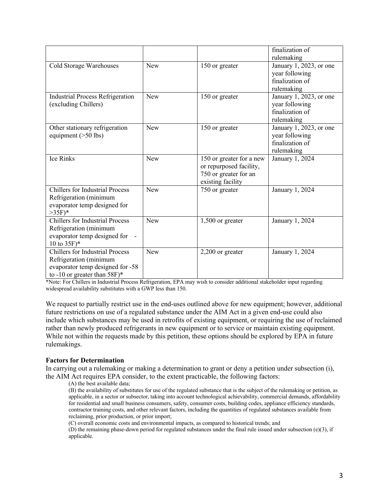|                                                                                                                                                   |            |                                                                                                   | finalization of<br>rulemaking                                              |
|---------------------------------------------------------------------------------------------------------------------------------------------------|------------|---------------------------------------------------------------------------------------------------|----------------------------------------------------------------------------|
| Cold Storage Warehouses                                                                                                                           | <b>New</b> | 150 or greater                                                                                    | January 1, 2023, or one<br>year following<br>finalization of<br>rulemaking |
| <b>Industrial Process Refrigeration</b><br>(excluding Chillers)                                                                                   | <b>New</b> | 150 or greater                                                                                    | January 1, 2023, or one<br>year following<br>finalization of<br>rulemaking |
| Other stationary refrigeration<br>equipment $($ >50 lbs)                                                                                          | <b>New</b> | 150 or greater                                                                                    | January 1, 2023, or one<br>year following<br>finalization of<br>rulemaking |
| <b>Ice Rinks</b>                                                                                                                                  | <b>New</b> | 150 or greater for a new<br>or repurposed facility,<br>750 or greater for an<br>existing facility | January 1, 2024                                                            |
| <b>Chillers for Industrial Process</b><br>Refrigeration (minimum<br>evaporator temp designed for<br>$>35F$ <sup>*</sup>                           | <b>New</b> | 750 or greater                                                                                    | January 1, 2024                                                            |
| <b>Chillers for Industrial Process</b><br>Refrigeration (minimum<br>evaporator temp designed for<br>10 to $35F$ <sup>*</sup>                      | <b>New</b> | $1,500$ or greater                                                                                | January 1, 2024                                                            |
| <b>Chillers for Industrial Process</b><br>Refrigeration (minimum<br>evaporator temp designed for -58<br>to -10 or greater than $58F$ <sup>*</sup> | <b>New</b> | $2,200$ or greater                                                                                | January 1, 2024                                                            |

\*Note: For Chillers in Industrial Process Refrigeration, EPA may wish to consider additional stakeholder input regarding widespread availability substitutes with a GWP less than 150.

We request to partially restrict use in the end-uses outlined above for new equipment; however, additional future restrictions on use of a regulated substance under the AIM Act in a given end-use could also include which substances may be used in retrofits of existing equipment, or requiring the use of reclaimed rather than newly produced refrigerants in new equipment or to service or maintain existing equipment. While not within the requests made by this petition, these options should be explored by EPA in future rulemakings.

#### **Factors for Determination**

In carrying out a rulemaking or making a determination to grant or deny a petition under subsection (i), the AIM Act requires EPA consider, to the extent practicable, the following factors:

(A) the best available data;

(B) the availability of substitutes for use of the regulated substance that is the subject of the rulemaking or petition, as applicable, in a sector or subsector, taking into account technological achievability, commercial demands, affordability for residential and small business consumers, safety, consumer costs, building codes, appliance efficiency standards, contractor training costs, and other relevant factors, including the quantities of regulated substances available from reclaiming, prior production, or prior import;

(C) overall economic costs and environmental impacts, as compared to historical trends; and

(D) the remaining phase-down period for regulated substances under the final rule issued under subsection (e)(3), if applicable.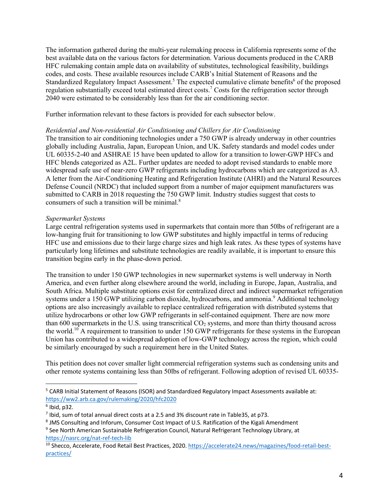The information gathered during the multi-year rulemaking process in California represents some of the best available data on the various factors for determination. Various documents produced in the CARB HFC rulemaking contain ample data on availability of substitutes, technological feasibility, buildings codes, and costs. These available resources include CARB's Initial Statement of Reasons and the Standardized Regulatory Impact Assessment.<sup>5</sup> The expected cumulative climate benefits<sup>6</sup> of the proposed regulation substantially exceed total estimated direct costs.7 Costs for the refrigeration sector through 2040 were estimated to be considerably less than for the air conditioning sector.

Further information relevant to these factors is provided for each subsector below.

#### *Residential and Non-residential Air Conditioning and Chillers for Air Conditioning*

The transition to air conditioning technologies under a 750 GWP is already underway in other countries globally including Australia, Japan, European Union, and UK. Safety standards and model codes under UL 60335-2-40 and ASHRAE 15 have been updated to allow for a transition to lower-GWP HFCs and HFC blends categorized as A2L. Further updates are needed to adopt revised standards to enable more widespread safe use of near-zero GWP refrigerants including hydrocarbons which are categorized as A3. A letter from the Air-Conditioning Heating and Refrigeration Institute (AHRI) and the Natural Resources Defense Council (NRDC) that included support from a number of major equipment manufacturers was submitted to CARB in 2018 requesting the 750 GWP limit. Industry studies suggest that costs to consumers of such a transition will be minimal.<sup>8</sup>

### *Supermarket Systems*

Large central refrigeration systems used in supermarkets that contain more than 50lbs of refrigerant are a low-hanging fruit for transitioning to low GWP substitutes and highly impactful in terms of reducing HFC use and emissions due to their large charge sizes and high leak rates. As these types of systems have particularly long lifetimes and substitute technologies are readily available, it is important to ensure this transition begins early in the phase-down period.

The transition to under 150 GWP technologies in new supermarket systems is well underway in North America, and even further along elsewhere around the world, including in Europe, Japan, Australia, and South Africa. Multiple substitute options exist for centralized direct and indirect supermarket refrigeration systems under a 150 GWP utilizing carbon dioxide, hydrocarbons, and ammonia.<sup>9</sup> Additional technology options are also increasingly available to replace centralized refrigeration with distributed systems that utilize hydrocarbons or other low GWP refrigerants in self-contained equipment. There are now more than 600 supermarkets in the U.S. using transcritical  $CO<sub>2</sub>$  systems, and more than thirty thousand across the world.<sup>10</sup> A requirement to transition to under 150 GWP refrigerants for these systems in the European Union has contributed to a widespread adoption of low-GWP technology across the region, which could be similarly encouraged by such a requirement here in the United States.

This petition does not cover smaller light commercial refrigeration systems such as condensing units and other remote systems containing less than 50lbs of refrigerant. Following adoption of revised UL 60335-

<sup>5</sup> CARB Initial Statement of Reasons (ISOR) and Standardized Regulatory Impact Assessments available at: https://ww2.arb.ca.gov/rulemaking/2020/hfc2020

 $6$  Ibid, p32.

<sup>7</sup> Ibid, sum of total annual direct costs at a 2.5 and 3% discount rate in Table35, at p73.

<sup>&</sup>lt;sup>8</sup> JMS Consulting and Inforum, Consumer Cost Impact of U.S. Ratification of the Kigali Amendment

<sup>&</sup>lt;sup>9</sup> See North American Sustainable Refrigeration Council, Natural Refrigerant Technology Library, at https://nasrc.org/nat-ref-tech-lib

<sup>&</sup>lt;sup>10</sup> Shecco, Accelerate, Food Retail Best Practices, 2020. https://accelerate24.news/magazines/food-retail-bestpractices/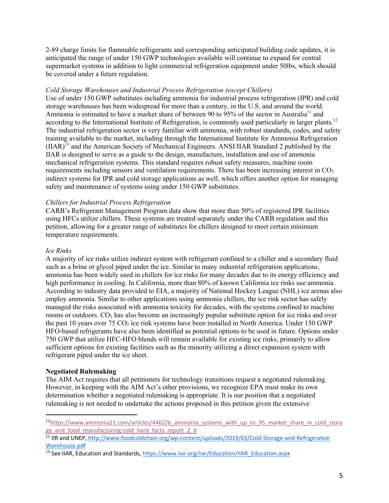2-89 charge limits for flammable refrigerants and corresponding anticipated building code updates, it is anticipated the range of under 150 GWP technologies available will continue to expand for central supermarket systems in addition to light commercial refrigeration equipment under 50lbs, which should be covered under a future regulation.

### *Cold Storage Warehouses and Industrial Process Refrigeration (except Chillers)*

Use of under 150 GWP substitutes including ammonia for industrial process refrigeration (IPR) and cold storage warehouses has been widespread for more than a century, in the U.S. and around the world. Ammonia is estimated to have a market share of between 90 to 95% of the sector in Australia<sup>11</sup> and according to the International Institute of Refrigeration, is commonly used particularly in larger plants.<sup>12</sup> The industrial refrigeration sector is very familiar with ammonia, with robust standards, codes, and safety training available to the market, including through the International Institute for Ammonia Refrigeration  $(IIAR)^{13}$  and the American Society of Mechanical Engineers. ANSI/IIAR Standard 2 published by the IIAR is designed to serve as a guide to the design, manufacture, installation and use of ammonia mechanical refrigeration systems. This standard requires robust safety measures, machine room requirements including sensors and ventilation requirements. There has been increasing interest in  $CO<sub>2</sub>$ indirect systems for IPR and cold storage applications as well, which offers another option for managing safety and maintenance of systems using under 150 GWP substitutes.

## *Chillers for Industrial Process Refrigeration*

CARB's Refrigerant Management Program data show that more than 50% of registered IPR facilities using HFCs utilize chillers. These systems are treated separately under the CARB regulation and this petition, allowing for a greater range of substitutes for chillers designed to meet certain minimum temperature requirements.

### *Ice Rinks*

A majority of ice rinks utilize indirect system with refrigerant confined to a chiller and a secondary fluid such as a brine or glycol piped under the ice. Similar to many industrial refrigeration applications, ammonia has been widely used in chillers for ice rinks for many decades due to its energy efficiency and high performance in cooling. In California, more than 80% of known California ice rinks use ammonia. According to industry data provided to EIA, a majority of National Hockey League (NHL) ice arenas also employ ammonia. Similar to other applications using ammonia chillers, the ice rink sector has safely managed the risks associated with ammonia toxicity for decades, with the systems confined to machine rooms or outdoors. CO<sub>2</sub> has also become an increasingly popular substitute option for ice rinks and over the past 10 years over 75  $CO<sub>2</sub>$  ice rink systems have been installed in North America. Under 150 GWP HFO-based refrigerants have also been identified as potential options to be used in future. Options under 750 GWP that utilize HFC-HFO blends will remain available for existing ice rinks, primarily to allow sufficient options for existing facilities such as the minority utilizing a direct expansion system with refrigerant piped under the ice sheet.

### **Negotiated Rulemaking**

The AIM Act requires that all petitioners for technology transitions request a negotiated rulemaking. However, in keeping with the AIM Act's other provisions, we recognize EPA must make its own determination whether a negotiated rulemaking is appropriate. It is our position that a negotiated rulemaking is not needed to undertake the actions proposed in this petition given the extensive

 $11$ https://www.ammonia21.com/articles/4462/b ammonia systems with up to 95 market share in cold stora ge\_and\_food\_manufacturing-cold\_hard\_facts\_report\_2\_b

<sup>&</sup>lt;sup>12</sup> IIR and UNEP, http://www.foodcoldchain.org/wp-content/uploads/2019/03/Cold-Storage-and-Refrigerated-Warehouse.pdf

<sup>&</sup>lt;sup>13</sup> See IIAR, Education and Standards, https://www.iiar.org/iiar/Education/IIAR\_Education.aspx